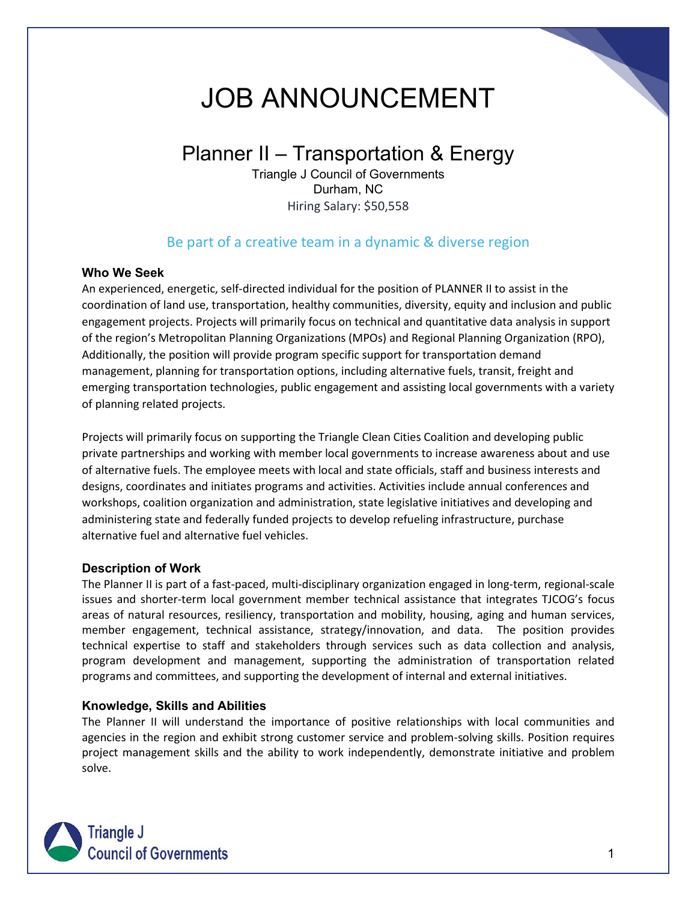# JOB ANNOUNCEMENT

## Planner II – Transportation & Energy

Triangle J Council of Governments Durham, NC Hiring Salary: \$50,558

### Be part of a creative team in a dynamic & diverse region

#### **Who We Seek**

An experienced, energetic, self-directed individual for the position of PLANNER II to assist in the coordination of land use, transportation, healthy communities, diversity, equity and inclusion and public engagement projects. Projects will primarily focus on technical and quantitative data analysis in support of the region's Metropolitan Planning Organizations (MPOs) and Regional Planning Organization (RPO), Additionally, the position will provide program specific support for transportation demand management, planning for transportation options, including alternative fuels, transit, freight and emerging transportation technologies, public engagement and assisting local governments with a variety of planning related projects.

Projects will primarily focus on supporting the Triangle Clean Cities Coalition and developing public private partnerships and working with member local governments to increase awareness about and use of alternative fuels. The employee meets with local and state officials, staff and business interests and designs, coordinates and initiates programs and activities. Activities include annual conferences and workshops, coalition organization and administration, state legislative initiatives and developing and administering state and federally funded projects to develop refueling infrastructure, purchase alternative fuel and alternative fuel vehicles.

#### **Description of Work**

The Planner II is part of a fast-paced, multi-disciplinary organization engaged in long-term, regional-scale issues and shorter-term local government member technical assistance that integrates TJCOG's focus areas of natural resources, resiliency, transportation and mobility, housing, aging and human services, member engagement, technical assistance, strategy/innovation, and data. The position provides technical expertise to staff and stakeholders through services such as data collection and analysis, program development and management, supporting the administration of transportation related programs and committees, and supporting the development of internal and external initiatives.

#### **Knowledge, Skills and Abilities**

The Planner II will understand the importance of positive relationships with local communities and agencies in the region and exhibit strong customer service and problem-solving skills. Position requires project management skills and the ability to work independently, demonstrate initiative and problem solve.

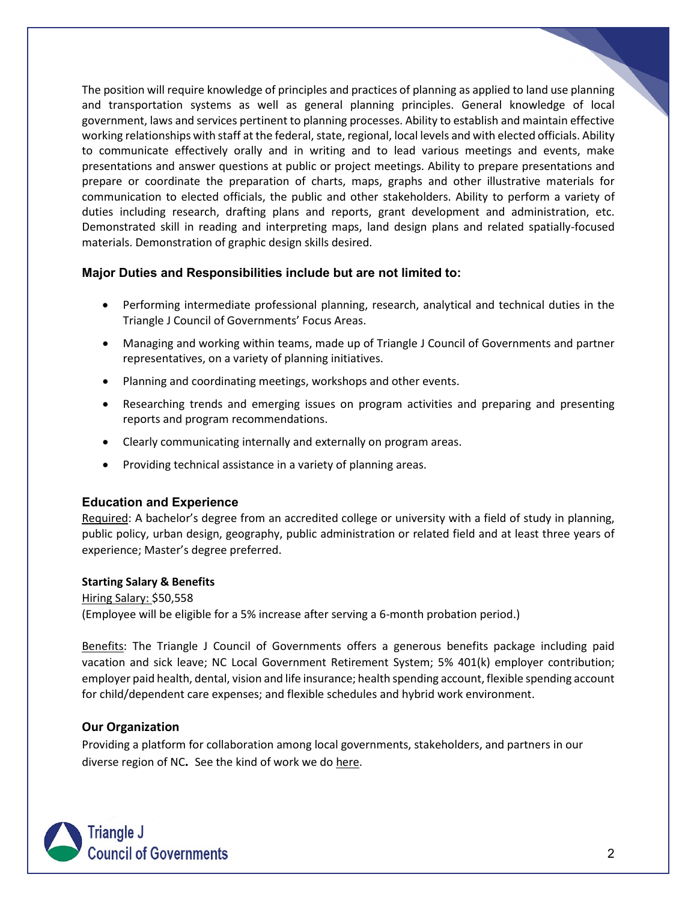The position will require knowledge of principles and practices of planning as applied to land use planning and transportation systems as well as general planning principles. General knowledge of local government, laws and services pertinent to planning processes. Ability to establish and maintain effective working relationships with staff at the federal, state, regional, local levels and with elected officials. Ability to communicate effectively orally and in writing and to lead various meetings and events, make presentations and answer questions at public or project meetings. Ability to prepare presentations and prepare or coordinate the preparation of charts, maps, graphs and other illustrative materials for communication to elected officials, the public and other stakeholders. Ability to perform a variety of duties including research, drafting plans and reports, grant development and administration, etc. Demonstrated skill in reading and interpreting maps, land design plans and related spatially-focused materials. Demonstration of graphic design skills desired.

#### **Major Duties and Responsibilities include but are not limited to:**

- Performing intermediate professional planning, research, analytical and technical duties in the Triangle J Council of Governments' Focus Areas.
- Managing and working within teams, made up of Triangle J Council of Governments and partner representatives, on a variety of planning initiatives.
- Planning and coordinating meetings, workshops and other events.
- Researching trends and emerging issues on program activities and preparing and presenting reports and program recommendations.
- Clearly communicating internally and externally on program areas.
- Providing technical assistance in a variety of planning areas.

#### **Education and Experience**

Required: A bachelor's degree from an accredited college or university with a field of study in planning, public policy, urban design, geography, public administration or related field and at least three years of experience; Master's degree preferred.

#### **Starting Salary & Benefits**

Hiring Salary: \$50,558 (Employee will be eligible for a 5% increase after serving a 6-month probation period.)

Benefits: The Triangle J Council of Governments offers a generous benefits package including paid vacation and sick leave; NC Local Government Retirement System; 5% 401(k) employer contribution; employer paid health, dental, vision and life insurance; health spending account, flexible spending account for child/dependent care expenses; and flexible schedules and hybrid work environment.

#### **Our Organization**

Providing a platform for collaboration among local governments, stakeholders, and partners in our diverse region of NC**.** See the kind of work we do [here.](https://www.tjcog.org/community-economic-development.aspx)